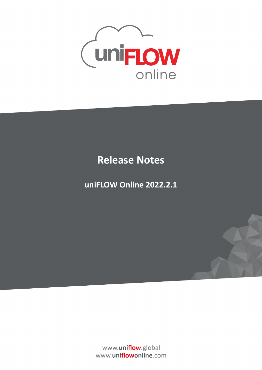

## **Release Notes**

**uniFLOW Online 2022.2.1**

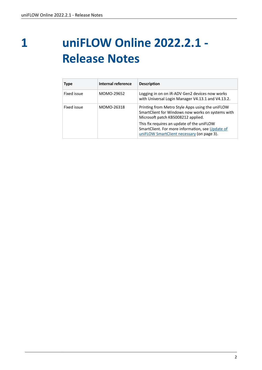**1**

## **uniFLOW Online 2022.2.1 - Release Notes**

| <b>Type</b> | Internal reference | <b>Description</b>                                                                                                                           |
|-------------|--------------------|----------------------------------------------------------------------------------------------------------------------------------------------|
| Fixed issue | MOMO-29652         | Logging in on on iR-ADV Gen2 devices now works<br>with Universal Login Manager V4.13.1 and V4.13.2.                                          |
| Fixed issue | MOMO-26318         | Printing from Metro Style Apps using the uniFLOW<br>SmartClient for Windows now works on systems with<br>Microsoft patch KB5008212 applied.  |
|             |                    | This fix requires an update of the uniFLOW<br>SmartClient. For more information, see Update of<br>uniFLOW SmartClient necessary (on page 3). |